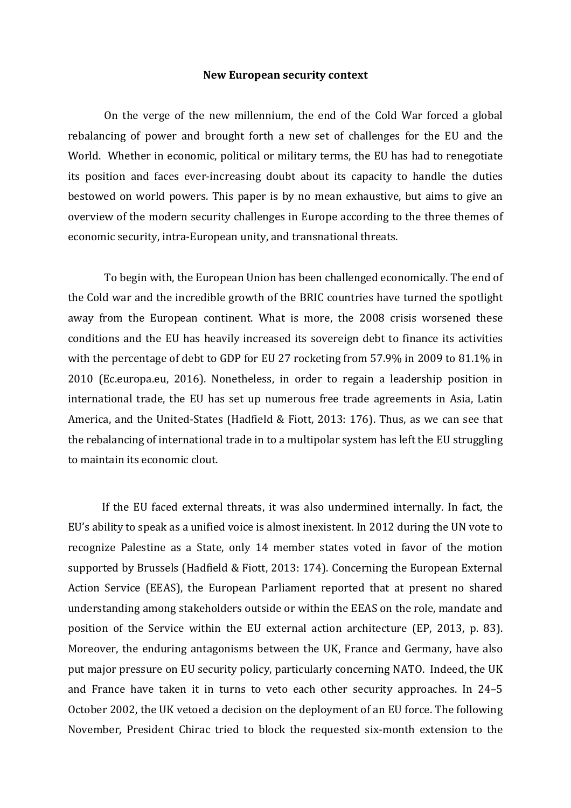## **New European security context**

On the verge of the new millennium, the end of the Cold War forced a global rebalancing of power and brought forth a new set of challenges for the EU and the World. Whether in economic, political or military terms, the EU has had to renegotiate its position and faces ever-increasing doubt about its capacity to handle the duties bestowed on world powers. This paper is by no mean exhaustive, but aims to give an overview of the modern security challenges in Europe according to the three themes of economic security, intra-European unity, and transnational threats.

To begin with, the European Union has been challenged economically. The end of the Cold war and the incredible growth of the BRIC countries have turned the spotlight away from the European continent. What is more, the 2008 crisis worsened these conditions and the EU has heavily increased its sovereign debt to finance its activities with the percentage of debt to GDP for EU 27 rocketing from 57.9% in 2009 to 81.1% in 2010 (Ec.europa.eu, 2016). Nonetheless, in order to regain a leadership position in international trade, the EU has set up numerous free trade agreements in Asia, Latin America, and the United-States (Hadfield & Fiott, 2013: 176). Thus, as we can see that the rebalancing of international trade in to a multipolar system has left the EU struggling to maintain its economic clout.

If the EU faced external threats, it was also undermined internally. In fact, the EU's ability to speak as a unified voice is almost inexistent. In 2012 during the UN vote to recognize Palestine as a State, only 14 member states voted in favor of the motion supported by Brussels (Hadfield & Fiott, 2013: 174). Concerning the European External Action Service (EEAS), the European Parliament reported that at present no shared understanding among stakeholders outside or within the EEAS on the role, mandate and position of the Service within the EU external action architecture (EP, 2013, p. 83). Moreover, the enduring antagonisms between the UK, France and Germany, have also put major pressure on EU security policy, particularly concerning NATO. Indeed, the UK and France have taken it in turns to veto each other security approaches. In 24–5 October 2002, the UK vetoed a decision on the deployment of an EU force. The following November, President Chirac tried to block the requested six-month extension to the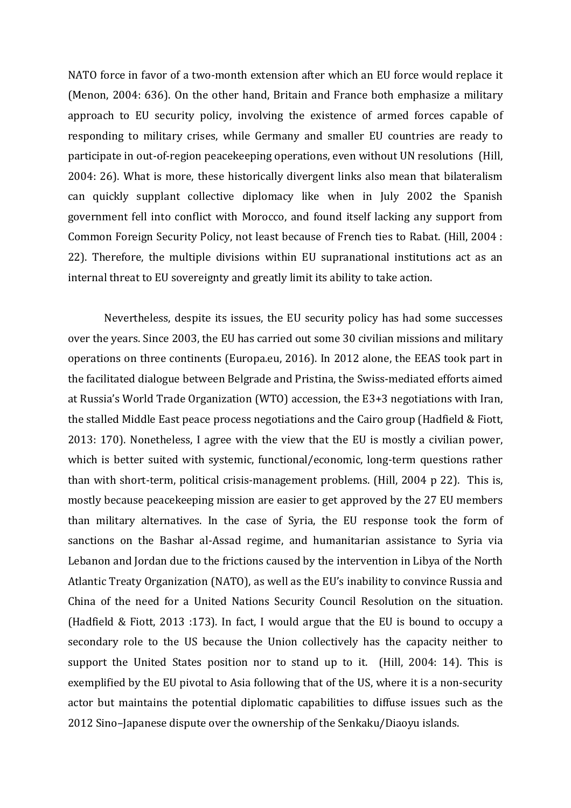NATO force in favor of a two-month extension after which an EU force would replace it (Menon, 2004: 636). On the other hand, Britain and France both emphasize a military approach to EU security policy, involving the existence of armed forces capable of responding to military crises, while Germany and smaller EU countries are ready to participate in out-of-region peacekeeping operations, even without UN resolutions (Hill, 2004: 26). What is more, these historically divergent links also mean that bilateralism can quickly supplant collective diplomacy like when in July 2002 the Spanish government fell into conflict with Morocco, and found itself lacking any support from Common Foreign Security Policy, not least because of French ties to Rabat. (Hill, 2004 : 22). Therefore, the multiple divisions within EU supranational institutions act as an internal threat to EU sovereignty and greatly limit its ability to take action.

Nevertheless, despite its issues, the EU security policy has had some successes over the years. Since 2003, the EU has carried out some 30 civilian missions and military operations on three continents (Europa.eu, 2016). In 2012 alone, the EEAS took part in the facilitated dialogue between Belgrade and Pristina, the Swiss-mediated efforts aimed at Russia's World Trade Organization (WTO) accession, the E3+3 negotiations with Iran, the stalled Middle East peace process negotiations and the Cairo group (Hadfield & Fiott, 2013: 170). Nonetheless, I agree with the view that the EU is mostly a civilian power, which is better suited with systemic, functional/economic, long-term questions rather than with short-term, political crisis-management problems. (Hill, 2004 p 22). This is, mostly because peacekeeping mission are easier to get approved by the 27 EU members than military alternatives. In the case of Syria, the EU response took the form of sanctions on the Bashar al-Assad regime, and humanitarian assistance to Syria via Lebanon and Jordan due to the frictions caused by the intervention in Libya of the North Atlantic Treaty Organization (NATO), as well as the EU's inability to convince Russia and China of the need for a United Nations Security Council Resolution on the situation. (Hadfield & Fiott, 2013 :173). In fact, I would argue that the EU is bound to occupy a secondary role to the US because the Union collectively has the capacity neither to support the United States position nor to stand up to it. (Hill, 2004: 14). This is exemplified by the EU pivotal to Asia following that of the US, where it is a non-security actor but maintains the potential diplomatic capabilities to diffuse issues such as the 2012 Sino–Japanese dispute over the ownership of the Senkaku/Diaoyu islands.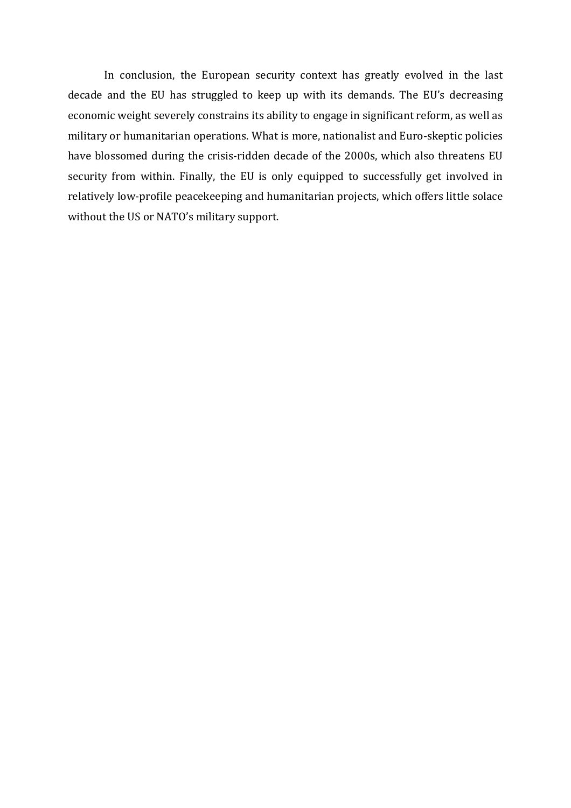In conclusion, the European security context has greatly evolved in the last decade and the EU has struggled to keep up with its demands. The EU's decreasing economic weight severely constrains its ability to engage in significant reform, as well as military or humanitarian operations. What is more, nationalist and Euro-skeptic policies have blossomed during the crisis-ridden decade of the 2000s, which also threatens EU security from within. Finally, the EU is only equipped to successfully get involved in relatively low-profile peacekeeping and humanitarian projects, which offers little solace without the US or NATO's military support.